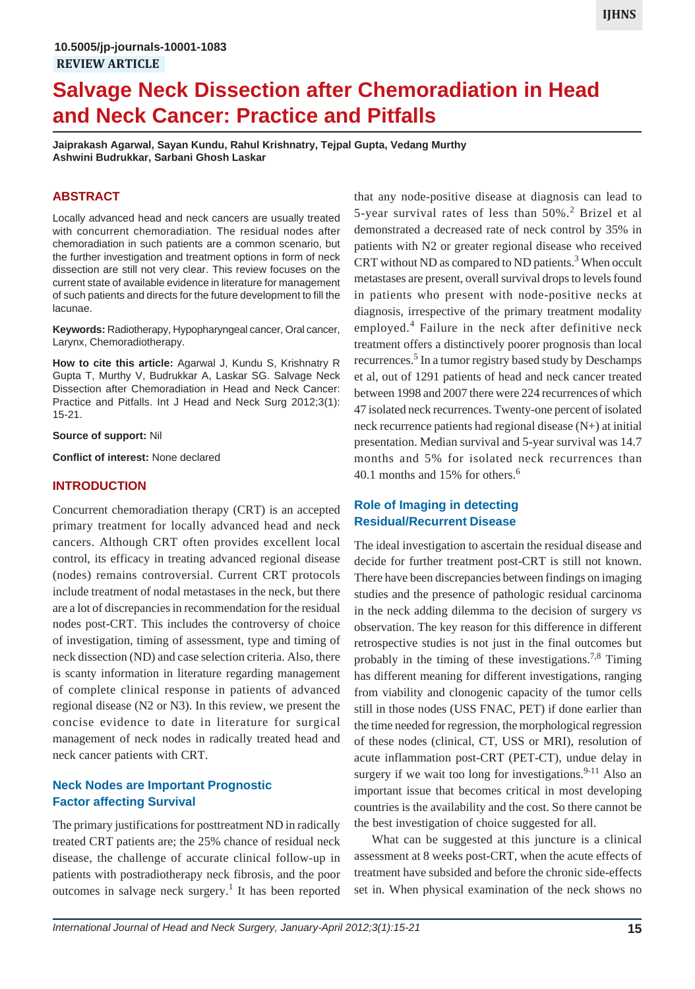# **Salvage Neck Dissection after Chemoradiation in Head and Neck Cancer: Practice and Pitfalls**

**Jaiprakash Agarwal, Sayan Kundu, Rahul Krishnatry, Tejpal Gupta, Vedang Murthy Ashwini Budrukkar, Sarbani Ghosh Laskar**

# **ABSTRACT**

Locally advanced head and neck cancers are usually treated with concurrent chemoradiation. The residual nodes after chemoradiation in such patients are a common scenario, but the further investigation and treatment options in form of neck dissection are still not very clear. This review focuses on the current state of available evidence in literature for management of such patients and directs for the future development to fill the lacunae.

**Keywords:** Radiotherapy, Hypopharyngeal cancer, Oral cancer, Larynx, Chemoradiotherapy.

**How to cite this article:** Agarwal J, Kundu S, Krishnatry R Gupta T, Murthy V, Budrukkar A, Laskar SG. Salvage Neck Dissection after Chemoradiation in Head and Neck Cancer: Practice and Pitfalls. Int J Head and Neck Surg 2012;3(1): 15-21.

#### **Source of support:** Nil

**Conflict of interest:** None declared

#### **INTRODUCTION**

Concurrent chemoradiation therapy (CRT) is an accepted primary treatment for locally advanced head and neck cancers. Although CRT often provides excellent local control, its efficacy in treating advanced regional disease (nodes) remains controversial. Current CRT protocols include treatment of nodal metastases in the neck, but there are a lot of discrepancies in recommendation for the residual nodes post-CRT. This includes the controversy of choice of investigation, timing of assessment, type and timing of neck dissection (ND) and case selection criteria. Also, there is scanty information in literature regarding management of complete clinical response in patients of advanced regional disease (N2 or N3). In this review, we present the concise evidence to date in literature for surgical management of neck nodes in radically treated head and neck cancer patients with CRT.

### **Neck Nodes are Important Prognostic Factor affecting Survival**

The primary justifications for posttreatment ND in radically treated CRT patients are; the 25% chance of residual neck disease, the challenge of accurate clinical follow-up in patients with postradiotherapy neck fibrosis, and the poor outcomes in salvage neck surgery.<sup>1</sup> It has been reported

that any node-positive disease at diagnosis can lead to 5-year survival rates of less than  $50\%$ .<sup>2</sup> Brizel et al demonstrated a decreased rate of neck control by 35% in patients with N2 or greater regional disease who received CRT without ND as compared to ND patients.<sup>3</sup> When occult metastases are present, overall survival drops to levels found in patients who present with node-positive necks at diagnosis, irrespective of the primary treatment modality employed.<sup>4</sup> Failure in the neck after definitive neck treatment offers a distinctively poorer prognosis than local recurrences.<sup>5</sup> In a tumor registry based study by Deschamps et al, out of 1291 patients of head and neck cancer treated between 1998 and 2007 there were 224 recurrences of which 47 isolated neck recurrences. Twenty-one percent of isolated neck recurrence patients had regional disease (N+) at initial presentation. Median survival and 5-year survival was 14.7 months and 5% for isolated neck recurrences than 40.1 months and 15% for others.<sup>6</sup>

# **Role of Imaging in detecting Residual/Recurrent Disease**

The ideal investigation to ascertain the residual disease and decide for further treatment post-CRT is still not known. There have been discrepancies between findings on imaging studies and the presence of pathologic residual carcinoma in the neck adding dilemma to the decision of surgery *vs* observation. The key reason for this difference in different retrospective studies is not just in the final outcomes but probably in the timing of these investigations.<sup>7,8</sup> Timing has different meaning for different investigations, ranging from viability and clonogenic capacity of the tumor cells still in those nodes (USS FNAC, PET) if done earlier than the time needed for regression, the morphological regression of these nodes (clinical, CT, USS or MRI), resolution of acute inflammation post-CRT (PET-CT), undue delay in surgery if we wait too long for investigations.  $9-11$  Also an important issue that becomes critical in most developing countries is the availability and the cost. So there cannot be the best investigation of choice suggested for all.

What can be suggested at this juncture is a clinical assessment at 8 weeks post-CRT, when the acute effects of treatment have subsided and before the chronic side-effects set in. When physical examination of the neck shows no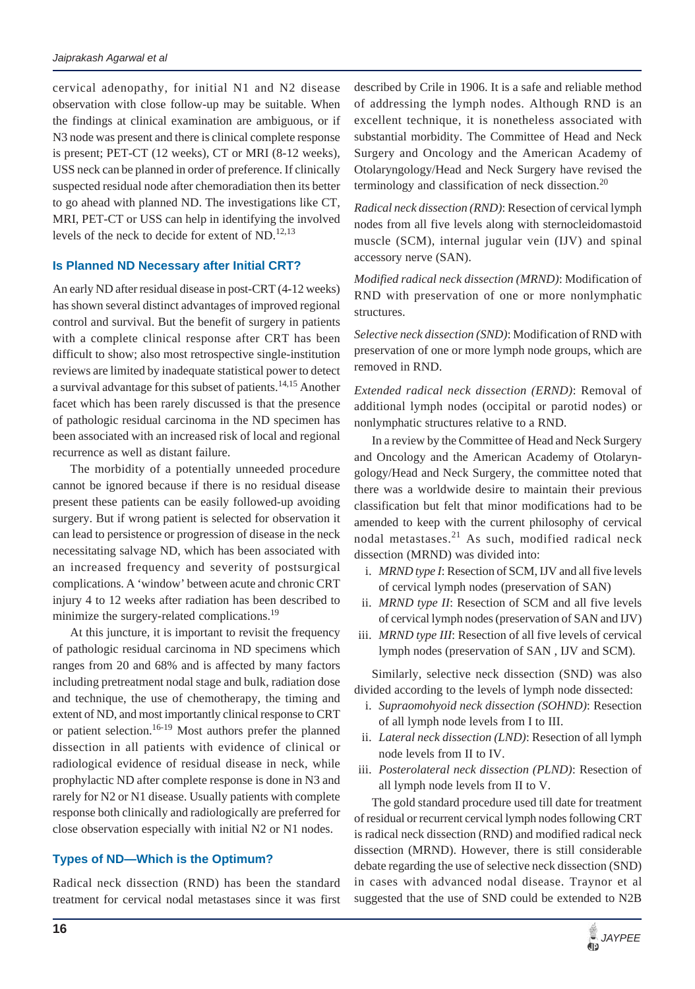cervical adenopathy, for initial N1 and N2 disease observation with close follow-up may be suitable. When the findings at clinical examination are ambiguous, or if N3 node was present and there is clinical complete response is present; PET-CT (12 weeks), CT or MRI (8-12 weeks), USS neck can be planned in order of preference. If clinically suspected residual node after chemoradiation then its better to go ahead with planned ND. The investigations like CT, MRI, PET-CT or USS can help in identifying the involved levels of the neck to decide for extent of ND. $^{12,13}$ 

### **Is Planned ND Necessary after Initial CRT?**

An early ND after residual disease in post-CRT (4-12 weeks) has shown several distinct advantages of improved regional control and survival. But the benefit of surgery in patients with a complete clinical response after CRT has been difficult to show; also most retrospective single-institution reviews are limited by inadequate statistical power to detect a survival advantage for this subset of patients.<sup>14,15</sup> Another facet which has been rarely discussed is that the presence of pathologic residual carcinoma in the ND specimen has been associated with an increased risk of local and regional recurrence as well as distant failure.

The morbidity of a potentially unneeded procedure cannot be ignored because if there is no residual disease present these patients can be easily followed-up avoiding surgery. But if wrong patient is selected for observation it can lead to persistence or progression of disease in the neck necessitating salvage ND, which has been associated with an increased frequency and severity of postsurgical complications. A 'window' between acute and chronic CRT injury 4 to 12 weeks after radiation has been described to minimize the surgery-related complications.<sup>19</sup>

At this juncture, it is important to revisit the frequency of pathologic residual carcinoma in ND specimens which ranges from 20 and 68% and is affected by many factors including pretreatment nodal stage and bulk, radiation dose and technique, the use of chemotherapy, the timing and extent of ND, and most importantly clinical response to CRT or patient selection.<sup>16-19</sup> Most authors prefer the planned dissection in all patients with evidence of clinical or radiological evidence of residual disease in neck, while prophylactic ND after complete response is done in N3 and rarely for N2 or N1 disease. Usually patients with complete response both clinically and radiologically are preferred for close observation especially with initial N2 or N1 nodes.

### **Types of ND—Which is the Optimum?**

Radical neck dissection (RND) has been the standard treatment for cervical nodal metastases since it was first

described by Crile in 1906. It is a safe and reliable method of addressing the lymph nodes. Although RND is an excellent technique, it is nonetheless associated with substantial morbidity. The Committee of Head and Neck Surgery and Oncology and the American Academy of Otolaryngology/Head and Neck Surgery have revised the terminology and classification of neck dissection.<sup>20</sup>

*Radical neck dissection (RND)*: Resection of cervical lymph nodes from all five levels along with sternocleidomastoid muscle (SCM), internal jugular vein (IJV) and spinal accessory nerve (SAN).

*Modified radical neck dissection (MRND)*: Modification of RND with preservation of one or more nonlymphatic structures.

*Selective neck dissection (SND)*: Modification of RND with preservation of one or more lymph node groups, which are removed in RND.

*Extended radical neck dissection (ERND)*: Removal of additional lymph nodes (occipital or parotid nodes) or nonlymphatic structures relative to a RND.

In a review by the Committee of Head and Neck Surgery and Oncology and the American Academy of Otolaryngology/Head and Neck Surgery, the committee noted that there was a worldwide desire to maintain their previous classification but felt that minor modifications had to be amended to keep with the current philosophy of cervical nodal metastases.<sup>21</sup> As such, modified radical neck dissection (MRND) was divided into:

- i. *MRND type I*: Resection of SCM, IJV and all five levels of cervical lymph nodes (preservation of SAN)
- ii. *MRND type II*: Resection of SCM and all five levels of cervical lymph nodes (preservation of SAN and IJV)
- iii. *MRND type III*: Resection of all five levels of cervical lymph nodes (preservation of SAN , IJV and SCM).

Similarly, selective neck dissection (SND) was also divided according to the levels of lymph node dissected:

- i. *Supraomohyoid neck dissection (SOHND)*: Resection of all lymph node levels from I to III.
- ii. *Lateral neck dissection (LND)*: Resection of all lymph node levels from II to IV.
- iii. *Posterolateral neck dissection (PLND)*: Resection of all lymph node levels from II to V.

The gold standard procedure used till date for treatment of residual or recurrent cervical lymph nodes following CRT is radical neck dissection (RND) and modified radical neck dissection (MRND). However, there is still considerable debate regarding the use of selective neck dissection (SND) in cases with advanced nodal disease. Traynor et al suggested that the use of SND could be extended to N2B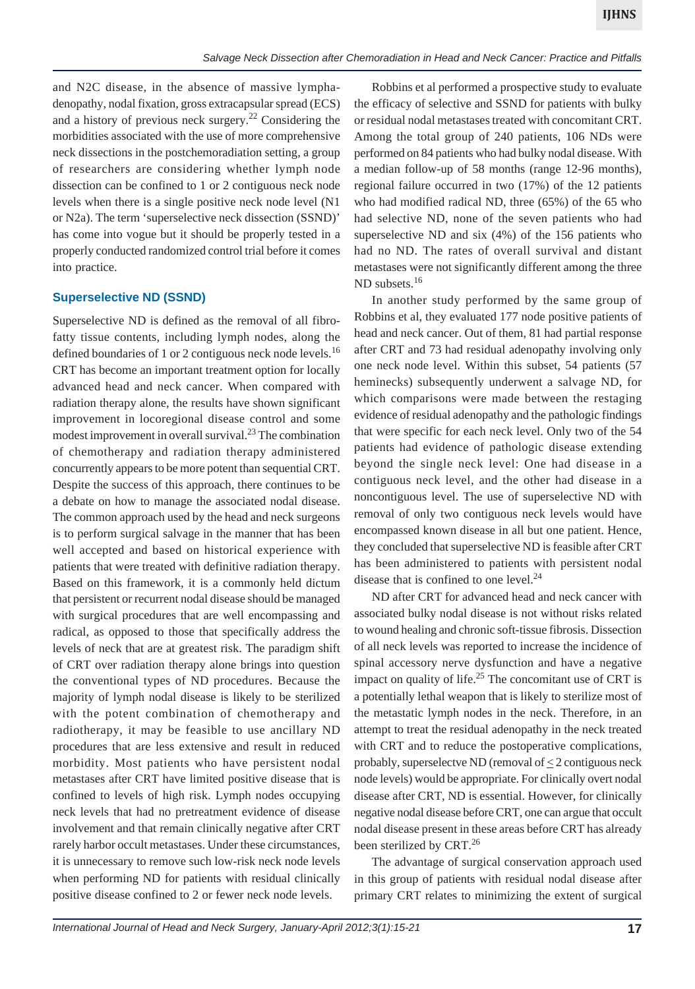and N2C disease, in the absence of massive lymphadenopathy, nodal fixation, gross extracapsular spread (ECS) and a history of previous neck surgery.<sup>22</sup> Considering the morbidities associated with the use of more comprehensive neck dissections in the postchemoradiation setting, a group of researchers are considering whether lymph node dissection can be confined to 1 or 2 contiguous neck node levels when there is a single positive neck node level (N1 or N2a). The term 'superselective neck dissection (SSND)' has come into vogue but it should be properly tested in a properly conducted randomized control trial before it comes into practice.

### **Superselective ND (SSND)**

Superselective ND is defined as the removal of all fibrofatty tissue contents, including lymph nodes, along the defined boundaries of 1 or 2 contiguous neck node levels.<sup>16</sup> CRT has become an important treatment option for locally advanced head and neck cancer. When compared with radiation therapy alone, the results have shown significant improvement in locoregional disease control and some modest improvement in overall survival.23 The combination of chemotherapy and radiation therapy administered concurrently appears to be more potent than sequential CRT. Despite the success of this approach, there continues to be a debate on how to manage the associated nodal disease. The common approach used by the head and neck surgeons is to perform surgical salvage in the manner that has been well accepted and based on historical experience with patients that were treated with definitive radiation therapy. Based on this framework, it is a commonly held dictum that persistent or recurrent nodal disease should be managed with surgical procedures that are well encompassing and radical, as opposed to those that specifically address the levels of neck that are at greatest risk. The paradigm shift of CRT over radiation therapy alone brings into question the conventional types of ND procedures. Because the majority of lymph nodal disease is likely to be sterilized with the potent combination of chemotherapy and radiotherapy, it may be feasible to use ancillary ND procedures that are less extensive and result in reduced morbidity. Most patients who have persistent nodal metastases after CRT have limited positive disease that is confined to levels of high risk. Lymph nodes occupying neck levels that had no pretreatment evidence of disease involvement and that remain clinically negative after CRT rarely harbor occult metastases. Under these circumstances, it is unnecessary to remove such low-risk neck node levels when performing ND for patients with residual clinically positive disease confined to 2 or fewer neck node levels.

Robbins et al performed a prospective study to evaluate the efficacy of selective and SSND for patients with bulky or residual nodal metastases treated with concomitant CRT. Among the total group of 240 patients, 106 NDs were performed on 84 patients who had bulky nodal disease. With a median follow-up of 58 months (range 12-96 months), regional failure occurred in two (17%) of the 12 patients who had modified radical ND, three (65%) of the 65 who had selective ND, none of the seven patients who had superselective ND and six (4%) of the 156 patients who had no ND. The rates of overall survival and distant metastases were not significantly different among the three ND subsets.<sup>16</sup>

In another study performed by the same group of Robbins et al, they evaluated 177 node positive patients of head and neck cancer. Out of them, 81 had partial response after CRT and 73 had residual adenopathy involving only one neck node level. Within this subset, 54 patients (57 heminecks) subsequently underwent a salvage ND, for which comparisons were made between the restaging evidence of residual adenopathy and the pathologic findings that were specific for each neck level. Only two of the 54 patients had evidence of pathologic disease extending beyond the single neck level: One had disease in a contiguous neck level, and the other had disease in a noncontiguous level. The use of superselective ND with removal of only two contiguous neck levels would have encompassed known disease in all but one patient. Hence, they concluded that superselective ND is feasible after CRT has been administered to patients with persistent nodal disease that is confined to one level.<sup>24</sup>

ND after CRT for advanced head and neck cancer with associated bulky nodal disease is not without risks related to wound healing and chronic soft-tissue fibrosis. Dissection of all neck levels was reported to increase the incidence of spinal accessory nerve dysfunction and have a negative impact on quality of life.<sup>25</sup> The concomitant use of CRT is a potentially lethal weapon that is likely to sterilize most of the metastatic lymph nodes in the neck. Therefore, in an attempt to treat the residual adenopathy in the neck treated with CRT and to reduce the postoperative complications, probably, superselectve ND (removal of  $\leq$  2 contiguous neck node levels) would be appropriate. For clinically overt nodal disease after CRT, ND is essential. However, for clinically negative nodal disease before CRT, one can argue that occult nodal disease present in these areas before CRT has already been sterilized by CRT.<sup>26</sup>

The advantage of surgical conservation approach used in this group of patients with residual nodal disease after primary CRT relates to minimizing the extent of surgical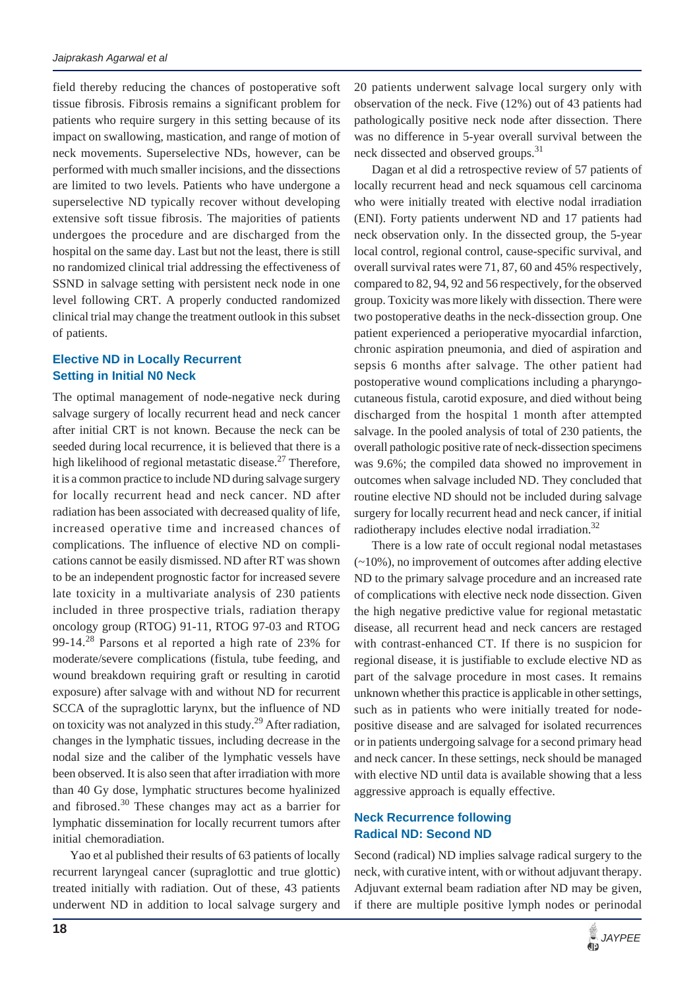field thereby reducing the chances of postoperative soft tissue fibrosis. Fibrosis remains a significant problem for patients who require surgery in this setting because of its impact on swallowing, mastication, and range of motion of neck movements. Superselective NDs, however, can be performed with much smaller incisions, and the dissections are limited to two levels. Patients who have undergone a superselective ND typically recover without developing extensive soft tissue fibrosis. The majorities of patients undergoes the procedure and are discharged from the hospital on the same day. Last but not the least, there is still no randomized clinical trial addressing the effectiveness of SSND in salvage setting with persistent neck node in one level following CRT. A properly conducted randomized clinical trial may change the treatment outlook in this subset of patients.

# **Elective ND in Locally Recurrent Setting in Initial N0 Neck**

The optimal management of node-negative neck during salvage surgery of locally recurrent head and neck cancer after initial CRT is not known. Because the neck can be seeded during local recurrence, it is believed that there is a high likelihood of regional metastatic disease.<sup>27</sup> Therefore, it is a common practice to include ND during salvage surgery for locally recurrent head and neck cancer. ND after radiation has been associated with decreased quality of life, increased operative time and increased chances of complications. The influence of elective ND on complications cannot be easily dismissed. ND after RT was shown to be an independent prognostic factor for increased severe late toxicity in a multivariate analysis of 230 patients included in three prospective trials, radiation therapy oncology group (RTOG) 91-11, RTOG 97-03 and RTOG 99-14.28 Parsons et al reported a high rate of 23% for moderate/severe complications (fistula, tube feeding, and wound breakdown requiring graft or resulting in carotid exposure) after salvage with and without ND for recurrent SCCA of the supraglottic larynx, but the influence of ND on toxicity was not analyzed in this study.<sup>29</sup> After radiation, changes in the lymphatic tissues, including decrease in the nodal size and the caliber of the lymphatic vessels have been observed. It is also seen that after irradiation with more than 40 Gy dose, lymphatic structures become hyalinized and fibrosed.<sup>30</sup> These changes may act as a barrier for lymphatic dissemination for locally recurrent tumors after initial chemoradiation.

Yao et al published their results of 63 patients of locally recurrent laryngeal cancer (supraglottic and true glottic) treated initially with radiation. Out of these, 43 patients underwent ND in addition to local salvage surgery and 20 patients underwent salvage local surgery only with observation of the neck. Five (12%) out of 43 patients had pathologically positive neck node after dissection. There was no difference in 5-year overall survival between the neck dissected and observed groups.<sup>31</sup>

Dagan et al did a retrospective review of 57 patients of locally recurrent head and neck squamous cell carcinoma who were initially treated with elective nodal irradiation (ENI). Forty patients underwent ND and 17 patients had neck observation only. In the dissected group, the 5-year local control, regional control, cause-specific survival, and overall survival rates were 71, 87, 60 and 45% respectively, compared to 82, 94, 92 and 56 respectively, for the observed group. Toxicity was more likely with dissection. There were two postoperative deaths in the neck-dissection group. One patient experienced a perioperative myocardial infarction, chronic aspiration pneumonia, and died of aspiration and sepsis 6 months after salvage. The other patient had postoperative wound complications including a pharyngocutaneous fistula, carotid exposure, and died without being discharged from the hospital 1 month after attempted salvage. In the pooled analysis of total of 230 patients, the overall pathologic positive rate of neck-dissection specimens was 9.6%; the compiled data showed no improvement in outcomes when salvage included ND. They concluded that routine elective ND should not be included during salvage surgery for locally recurrent head and neck cancer, if initial radiotherapy includes elective nodal irradiation.<sup>32</sup>

There is a low rate of occult regional nodal metastases (~10%), no improvement of outcomes after adding elective ND to the primary salvage procedure and an increased rate of complications with elective neck node dissection. Given the high negative predictive value for regional metastatic disease, all recurrent head and neck cancers are restaged with contrast-enhanced CT. If there is no suspicion for regional disease, it is justifiable to exclude elective ND as part of the salvage procedure in most cases. It remains unknown whether this practice is applicable in other settings, such as in patients who were initially treated for nodepositive disease and are salvaged for isolated recurrences or in patients undergoing salvage for a second primary head and neck cancer. In these settings, neck should be managed with elective ND until data is available showing that a less aggressive approach is equally effective.

## **Neck Recurrence following Radical ND: Second ND**

Second (radical) ND implies salvage radical surgery to the neck, with curative intent, with or without adjuvant therapy. Adjuvant external beam radiation after ND may be given, if there are multiple positive lymph nodes or perinodal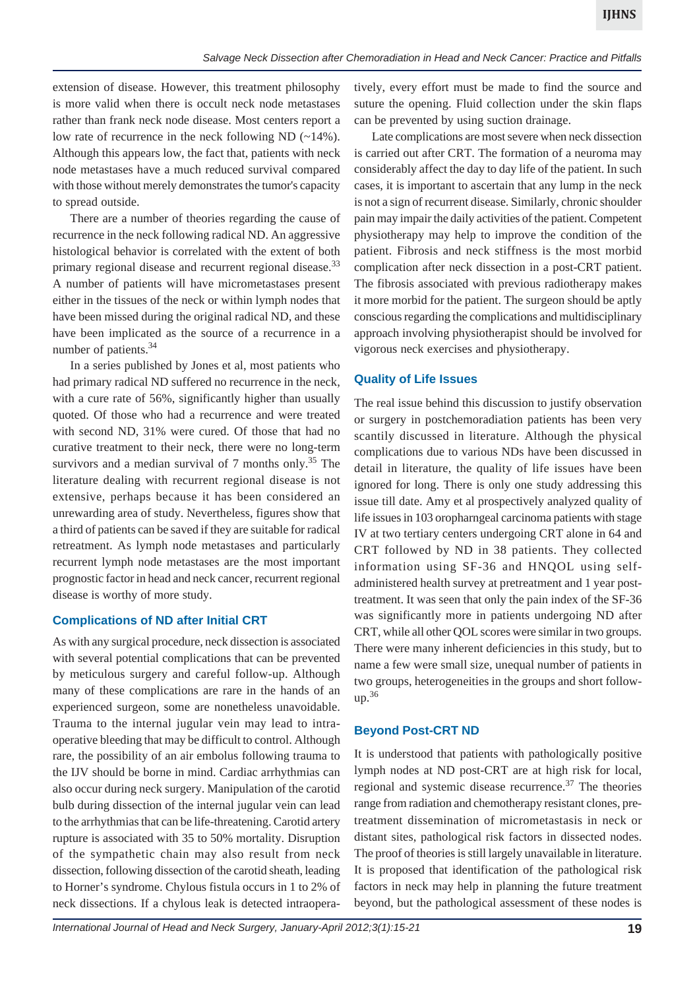extension of disease. However, this treatment philosophy is more valid when there is occult neck node metastases rather than frank neck node disease. Most centers report a low rate of recurrence in the neck following ND (~14%). Although this appears low, the fact that, patients with neck node metastases have a much reduced survival compared with those without merely demonstrates the tumor's capacity to spread outside.

There are a number of theories regarding the cause of recurrence in the neck following radical ND. An aggressive histological behavior is correlated with the extent of both primary regional disease and recurrent regional disease.<sup>33</sup> A number of patients will have micrometastases present either in the tissues of the neck or within lymph nodes that have been missed during the original radical ND, and these have been implicated as the source of a recurrence in a number of patients.<sup>34</sup>

In a series published by Jones et al, most patients who had primary radical ND suffered no recurrence in the neck, with a cure rate of 56%, significantly higher than usually quoted. Of those who had a recurrence and were treated with second ND, 31% were cured. Of those that had no curative treatment to their neck, there were no long-term survivors and a median survival of  $7$  months only.<sup>35</sup> The literature dealing with recurrent regional disease is not extensive, perhaps because it has been considered an unrewarding area of study. Nevertheless, figures show that a third of patients can be saved if they are suitable for radical retreatment. As lymph node metastases and particularly recurrent lymph node metastases are the most important prognostic factor in head and neck cancer, recurrent regional disease is worthy of more study.

### **Complications of ND after Initial CRT**

As with any surgical procedure, neck dissection is associated with several potential complications that can be prevented by meticulous surgery and careful follow-up. Although many of these complications are rare in the hands of an experienced surgeon, some are nonetheless unavoidable. Trauma to the internal jugular vein may lead to intraoperative bleeding that may be difficult to control. Although rare, the possibility of an air embolus following trauma to the IJV should be borne in mind. Cardiac arrhythmias can also occur during neck surgery. Manipulation of the carotid bulb during dissection of the internal jugular vein can lead to the arrhythmias that can be life-threatening. Carotid artery rupture is associated with 35 to 50% mortality. Disruption of the sympathetic chain may also result from neck dissection, following dissection of the carotid sheath, leading to Horner's syndrome. Chylous fistula occurs in 1 to 2% of neck dissections. If a chylous leak is detected intraopera-

tively, every effort must be made to find the source and suture the opening. Fluid collection under the skin flaps can be prevented by using suction drainage.

Late complications are most severe when neck dissection is carried out after CRT. The formation of a neuroma may considerably affect the day to day life of the patient. In such cases, it is important to ascertain that any lump in the neck is not a sign of recurrent disease. Similarly, chronic shoulder pain may impair the daily activities of the patient. Competent physiotherapy may help to improve the condition of the patient. Fibrosis and neck stiffness is the most morbid complication after neck dissection in a post-CRT patient. The fibrosis associated with previous radiotherapy makes it more morbid for the patient. The surgeon should be aptly conscious regarding the complications and multidisciplinary approach involving physiotherapist should be involved for vigorous neck exercises and physiotherapy.

#### **Quality of Life Issues**

The real issue behind this discussion to justify observation or surgery in postchemoradiation patients has been very scantily discussed in literature. Although the physical complications due to various NDs have been discussed in detail in literature, the quality of life issues have been ignored for long. There is only one study addressing this issue till date. Amy et al prospectively analyzed quality of life issues in 103 oropharngeal carcinoma patients with stage IV at two tertiary centers undergoing CRT alone in 64 and CRT followed by ND in 38 patients. They collected information using SF-36 and HNQOL using selfadministered health survey at pretreatment and 1 year posttreatment. It was seen that only the pain index of the SF-36 was significantly more in patients undergoing ND after CRT, while all other QOL scores were similar in two groups. There were many inherent deficiencies in this study, but to name a few were small size, unequal number of patients in two groups, heterogeneities in the groups and short follow $up.<sup>36</sup>$ 

### **Beyond Post-CRT ND**

It is understood that patients with pathologically positive lymph nodes at ND post-CRT are at high risk for local, regional and systemic disease recurrence.<sup>37</sup> The theories range from radiation and chemotherapy resistant clones, pretreatment dissemination of micrometastasis in neck or distant sites, pathological risk factors in dissected nodes. The proof of theories is still largely unavailable in literature. It is proposed that identification of the pathological risk factors in neck may help in planning the future treatment beyond, but the pathological assessment of these nodes is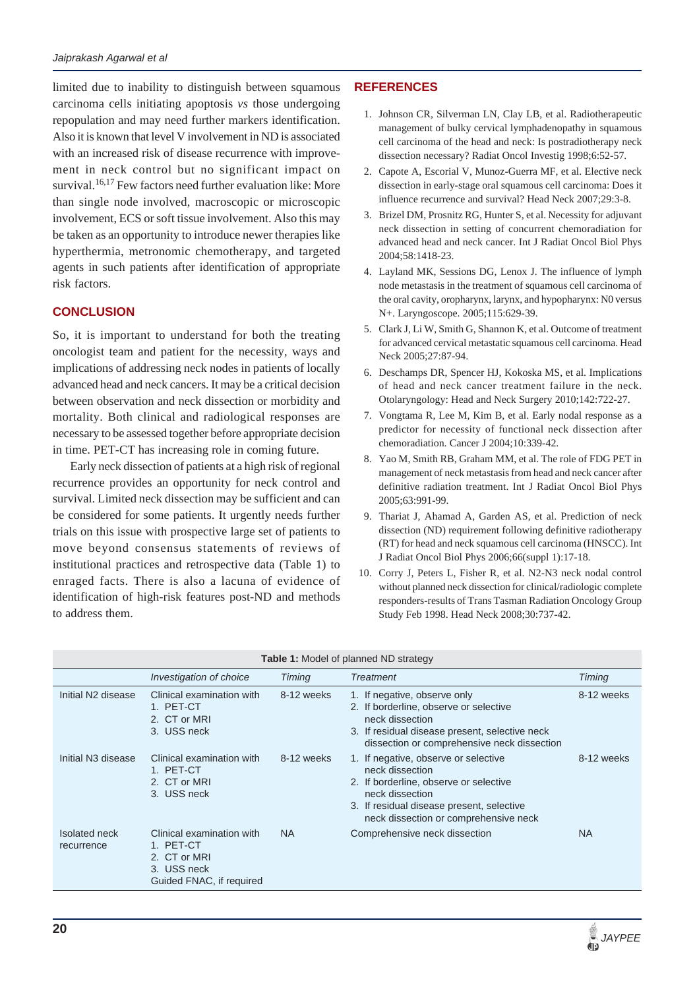limited due to inability to distinguish between squamous carcinoma cells initiating apoptosis *vs* those undergoing repopulation and may need further markers identification. Also it is known that level V involvement in ND is associated with an increased risk of disease recurrence with improvement in neck control but no significant impact on survival.<sup>16,17</sup> Few factors need further evaluation like: More than single node involved, macroscopic or microscopic involvement, ECS or soft tissue involvement. Also this may be taken as an opportunity to introduce newer therapies like hyperthermia, metronomic chemotherapy, and targeted agents in such patients after identification of appropriate risk factors.

### **CONCLUSION**

So, it is important to understand for both the treating oncologist team and patient for the necessity, ways and implications of addressing neck nodes in patients of locally advanced head and neck cancers. It may be a critical decision between observation and neck dissection or morbidity and mortality. Both clinical and radiological responses are necessary to be assessed together before appropriate decision in time. PET-CT has increasing role in coming future.

Early neck dissection of patients at a high risk of regional recurrence provides an opportunity for neck control and survival. Limited neck dissection may be sufficient and can be considered for some patients. It urgently needs further trials on this issue with prospective large set of patients to move beyond consensus statements of reviews of institutional practices and retrospective data (Table 1) to enraged facts. There is also a lacuna of evidence of identification of high-risk features post-ND and methods to address them.

# **REFERENCES**

- 1. Johnson CR, Silverman LN, Clay LB, et al. Radiotherapeutic management of bulky cervical lymphadenopathy in squamous cell carcinoma of the head and neck: Is postradiotherapy neck dissection necessary? Radiat Oncol Investig 1998;6:52-57.
- 2. Capote A, Escorial V, Munoz-Guerra MF, et al. Elective neck dissection in early-stage oral squamous cell carcinoma: Does it influence recurrence and survival? Head Neck 2007;29:3-8.
- 3. Brizel DM, Prosnitz RG, Hunter S, et al. Necessity for adjuvant neck dissection in setting of concurrent chemoradiation for advanced head and neck cancer. Int J Radiat Oncol Biol Phys 2004;58:1418-23.
- 4. Layland MK, Sessions DG, Lenox J. The influence of lymph node metastasis in the treatment of squamous cell carcinoma of the oral cavity, oropharynx, larynx, and hypopharynx: N0 versus N+. Laryngoscope. 2005;115:629-39.
- 5. Clark J, Li W, Smith G, Shannon K, et al. Outcome of treatment for advanced cervical metastatic squamous cell carcinoma. Head Neck 2005;27:87-94.
- 6. Deschamps DR, Spencer HJ, Kokoska MS, et al. Implications of head and neck cancer treatment failure in the neck. Otolaryngology: Head and Neck Surgery 2010;142:722-27.
- 7. Vongtama R, Lee M, Kim B, et al. Early nodal response as a predictor for necessity of functional neck dissection after chemoradiation. Cancer J 2004;10:339-42.
- 8. Yao M, Smith RB, Graham MM, et al. The role of FDG PET in management of neck metastasis from head and neck cancer after definitive radiation treatment. Int J Radiat Oncol Biol Phys 2005;63:991-99.
- 9. Thariat J, Ahamad A, Garden AS, et al. Prediction of neck dissection (ND) requirement following definitive radiotherapy (RT) for head and neck squamous cell carcinoma (HNSCC). Int J Radiat Oncol Biol Phys 2006;66(suppl 1):17-18.
- 10. Corry J, Peters L, Fisher R, et al. N2-N3 neck nodal control without planned neck dissection for clinical/radiologic complete responders-results of Trans Tasman Radiation Oncology Group Study Feb 1998. Head Neck 2008;30:737-42.

|                                | Investigation of choice                                                                           | <b>Timing</b> | <b>Treatment</b>                                                                                                                                                                                           | Timing     |
|--------------------------------|---------------------------------------------------------------------------------------------------|---------------|------------------------------------------------------------------------------------------------------------------------------------------------------------------------------------------------------------|------------|
| Initial N2 disease             | Clinical examination with<br>1. PET-CT<br>2. CT or MRI<br>3. USS neck                             | 8-12 weeks    | 1. If negative, observe only<br>2. If borderline, observe or selective<br>neck dissection<br>3. If residual disease present, selective neck<br>dissection or comprehensive neck dissection                 | 8-12 weeks |
| Initial N <sub>3</sub> disease | Clinical examination with<br>1. PET-CT<br>2. CT or MRI<br>3. USS neck                             | 8-12 weeks    | 1. If negative, observe or selective<br>neck dissection<br>2. If borderline, observe or selective<br>neck dissection<br>3. If residual disease present, selective<br>neck dissection or comprehensive neck | 8-12 weeks |
| Isolated neck<br>recurrence    | Clinical examination with<br>1. PET-CT<br>2. CT or MRI<br>3. USS neck<br>Guided FNAC, if required | <b>NA</b>     | Comprehensive neck dissection                                                                                                                                                                              | <b>NA</b>  |

#### **Table 1:** Model of planned ND strategy